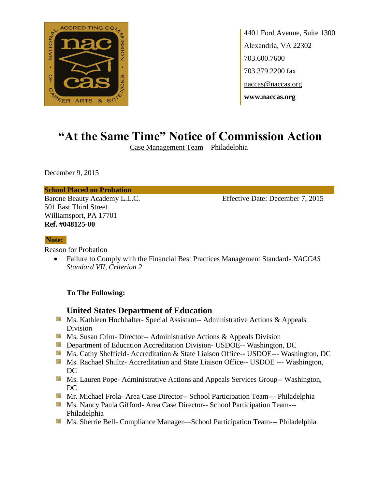

4401 Ford Avenue, Suite 1300 Alexandria, VA 22302 703.600.7600 703.379.2200 fax naccas@naccas.org **www.naccas.org**

# **"At the Same Time" Notice of Commission Action**

Case Management Team – Philadelphia

December 9, 2015

#### **School Placed on Probation**

501 East Third Street Williamsport, PA 17701 **Ref. #048125-00**

Barone Beauty Academy L.L.C. Effective Date: December 7, 2015

#### **Note:**

Reason for Probation

 Failure to Comply with the Financial Best Practices Management Standard- *NACCAS Standard VII, Criterion 2* 

### **To The Following:**

## **United States Department of Education**

- Ms. Kathleen Hochhalter- Special Assistant-- Administrative Actions & Appeals Division
- **Ms. Susan Crim- Director-- Administrative Actions & Appeals Division**
- **Department of Education Accreditation Division- USDOE-- Washington, DC**
- Ms. Cathy Sheffield- Accreditation & State Liaison Office-- USDOE--- Washington, DC
- **MS. Rachael Shultz- Accreditation and State Liaison Office-- USDOE --- Washington,** DC
- **MS. Lauren Pope- Administrative Actions and Appeals Services Group-- Washington,** DC
- Mr. Michael Frola- Area Case Director-- School Participation Team--- Philadelphia
- Ms. Nancy Paula Gifford- Area Case Director-- School Participation Team---Philadelphia
- **Ms. Sherrie Bell- Compliance Manager—School Participation Team--- Philadelphia**